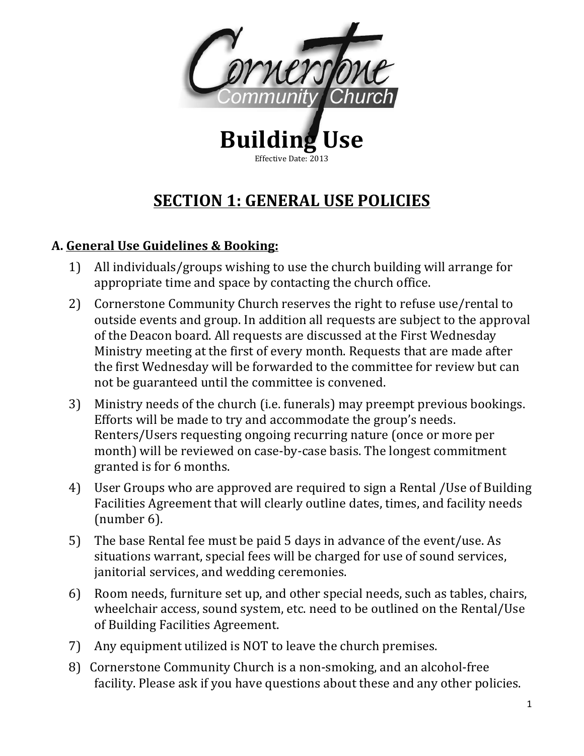

## **SECTION 1: GENERAL USE POLICIES**

## **A. General Use Guidelines & Booking:**

- 1) All individuals/groups wishing to use the church building will arrange for appropriate time and space by contacting the church office.
- 2) Cornerstone Community Church reserves the right to refuse use/rental to outside events and group. In addition all requests are subject to the approval of the Deacon board. All requests are discussed at the First Wednesday Ministry meeting at the first of every month. Requests that are made after the first Wednesday will be forwarded to the committee for review but can not be guaranteed until the committee is convened.
- 3) Ministry needs of the church (i.e. funerals) may preempt previous bookings. Efforts will be made to try and accommodate the group's needs. Renters/Users requesting ongoing recurring nature (once or more per month) will be reviewed on case-by-case basis. The longest commitment granted is for 6 months.
- 4) User Groups who are approved are required to sign a Rental *(Use of Building*) Facilities Agreement that will clearly outline dates, times, and facility needs  ${\rm (number 6)}$ .
- 5) The base Rental fee must be paid 5 days in advance of the event/use. As situations warrant, special fees will be charged for use of sound services, janitorial services, and wedding ceremonies.
- 6) Room needs, furniture set up, and other special needs, such as tables, chairs, wheelchair access, sound system, etc. need to be outlined on the Rental/Use of Building Facilities Agreement.
- 7) Any equipment utilized is NOT to leave the church premises.
- 8) Cornerstone Community Church is a non-smoking, and an alcohol-free facility. Please ask if you have questions about these and any other policies.